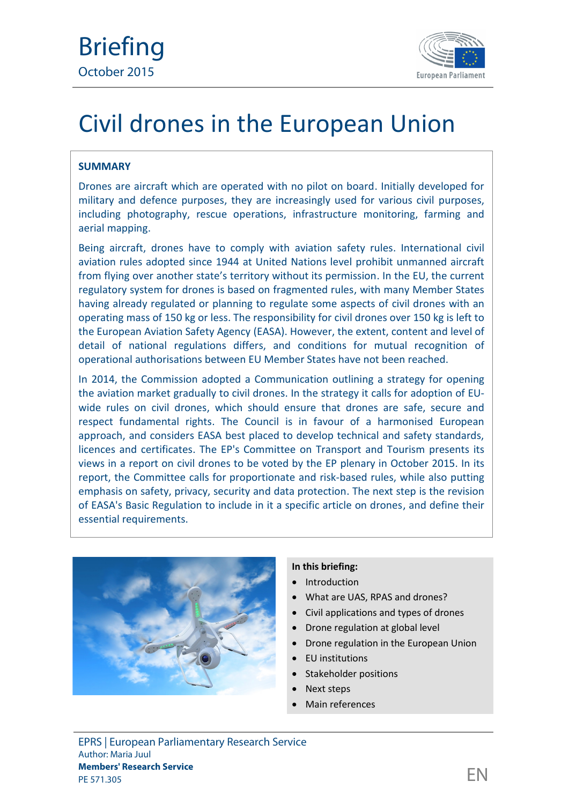

# Civil drones in the European Union

## **SUMMARY**

Drones are aircraft which are operated with no pilot on board. Initially developed for military and defence purposes, they are increasingly used for various civil purposes, including photography, rescue operations, infrastructure monitoring, farming and aerial mapping.

Being aircraft, drones have to comply with aviation safety rules. International civil aviation rules adopted since 1944 at United Nations level prohibit unmanned aircraft from flying over another state's territory without its permission. In the EU, the current regulatory system for drones is based on fragmented rules, with many Member States having already regulated or planning to regulate some aspects of civil drones with an operating mass of 150 kg or less. The responsibility for civil drones over 150 kg is left to the European Aviation Safety Agency (EASA). However, the extent, content and level of detail of national regulations differs, and conditions for mutual recognition of operational authorisations between EU Member States have not been reached.

In 2014, the Commission adopted a Communication outlining a strategy for opening the aviation market gradually to civil drones. In the strategy it calls for adoption of EU wide rules on civil drones, which should ensure that drones are safe, secure and respect fundamental rights. The Council is in favour of a harmonised European approach, and considers EASA best placed to develop technical and safety standards, licences and certificates. The EP's Committee on Transport and Tourism presents its views in a report on civil drones to be voted by the EP plenary in October 2015. In its report, the Committee calls for proportionate and risk-based rules, while also putting emphasis on safety, privacy, security and data protection. The next step is the revision of EASA's Basic Regulation to include in it a specific article on drones, and define their essential requirements.



## **In this briefing:**

- Introduction
- What are UAS, RPAS and drones?
- Civil applications and types of drones
- Drone regulation at global level
- Drone regulation in the European Union
- EU institutions
- Stakeholder positions
- Next steps
- Main references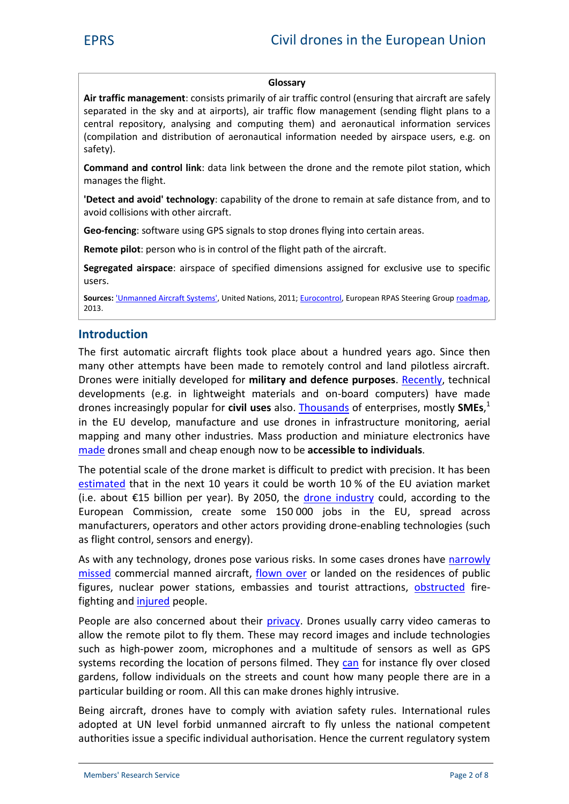#### **Glossary**

**Air traffic management**: consists primarily of air traffic control (ensuring that aircraft are safely separated in the sky and at airports), air traffic flow management (sending flight plans to a central repository, analysing and computing them) and aeronautical information services (compilation and distribution of aeronautical information needed by airspace users, e.g. on safety).

**Command and control link**: data link between the drone and the remote pilot station, which manages the flight.

**'Detect and avoid' technology**: [capability](https://www.faa.gov/uas/media/Sec_331_336_UAS.pdf) of the drone to remain at safe distance from, and to avoid collisions with other aircraft.

**Geo-fencing**: software using GPS signals to stop drones flying into certain areas.

**Remote pilot**: [person](http://www.developpement-durable.gouv.fr/document137398) who is in control of the flight path of the aircraft.

**Segregated airspace**: airspace of specified dimensions assigned for exclusive use to specific users.

**Sources:** '[Unmanned Aircraft Systems',](http://www.icao.int/Meetings/UAS/Documents/Circular 328_en.pdf) United Nations, 2011; [Eurocontrol,](http://www.eurocontrol.int/articles/what-air-traffic-management) European RPAS Steering Group [roadmap,](http://ec.europa.eu/DocsRoom/documents/10484/attachments/1/translations/en/renditions/native) 2013.

### **Introduction**

The first automatic aircraft flights took place about a hundred years ago. Since then many other attempts have been made to remotely control and land pilotless aircraft. Drones were initially developed for **military and defence purposes**. [Recently](http://www.publications.parliament.uk/pa/ld201415/ldselect/ldeucom/122/122.pdf), technical developments (e.g. in lightweight materials and on-board computers) have made drones increasingly popular for **civil uses** also. [Thousands](http://www.euractiv.com/sections/infosociety/europes-first-civil-drone-law-gets-boost-parliament-316396) of enterprises, mostly **SMEs**,<sup>1</sup> in the EU develop, manufacture and use drones in infrastructure monitoring, aerial mapping and many other industries. Mass production and miniature electronics have [made](http://ec.europa.eu/DocsRoom/documents/11493) drones small and cheap enough now to be **accessible to individuals**.

The potential scale of the drone market is difficult to predict with precision. It has been [estimated](http://europa.eu/rapid/press-release_IP-14-384_en.htm) that in the next 10 years it could be worth 10 % of the EU aviation market (i.e. about €15 billion per year). By 2050, the [drone industry](http://eur-lex.europa.eu/legal-content/EN/TXT/?uri=CELEX:52014DC0207) could, according to the European Commission, create some 150 000 jobs in the EU, spread across manufacturers, operators and other actors providing drone-enabling technologies (such as flight control, sensors and energy).

As with any technology, drones pose various risks. In some cases drones have [narrowly](http://www.euractiv.com/sections/transport/europe-faces-flight-safety-threat-posed-drones-317093) [missed](http://www.euractiv.com/sections/transport/europe-faces-flight-safety-threat-posed-drones-317093) commercial manned aircraft, [flown over](http://www.france24.com/en/20150225-drone-paris-al-jazeera-journalists-arrested/) or landed on the residences of public figures, nuclear power stations, embassies and tourist attractions, [obstructed](http://fortune.com/2015/07/19/the-dark-side-of-drones/) firefighting and i[njured](http://www.techrepublic.com/article/12-drone-disasters-that-show-why-the-faa-hates-drones/) people.

People are also concerned about their [privacy.](http://www.europarl.europa.eu/RegData/etudes/IDAN/2015/519221/IPOL_IDA(2015)519221_EN.pdf) Drones usually carry video cameras to allow the remote pilot to fly them. These may record images and include technologies such as high-power zoom, microphones and a multitude of sensors as well as GPS systems recording the location of persons filmed. They [can](https://secure.edps.europa.eu/EDPSWEB/webdav/site/mySite/shared/Documents/Consultation/Opinions/2014/14-11-26_Opinion_RPAS_EN.pdf) for instance fly over closed gardens, follow individuals on the streets and count how many people there are in a particular building or room. All this can make drones highly intrusive.

Being aircraft, drones have to comply with aviation safety rules. International rules adopted at UN level forbid unmanned aircraft to fly unless the national competent authorities issue a specific individual authorisation. Hence the current regulatory system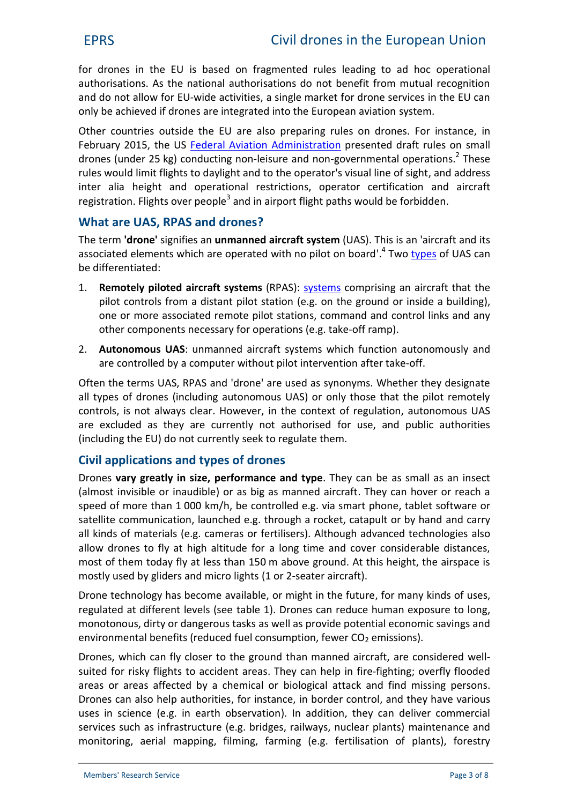for drones in the EU is based on fragmented rules leading to ad hoc operational authorisations. As the national authorisations do not benefit from mutual recognition and do not allow for EU-wide activities, a single market for drone services in the EU can only be achieved if drones are integrated into the European aviation system.

Other countries outside the EU are also preparing rules on drones. For instance, in February 2015, the US [Federal Aviation](https://www.faa.gov/news/press_releases/news_story.cfm?newsId=18295) Administration presented draft rules on small drones (under 25 kg) conducting non-leisure and non-governmental operations.<sup>2</sup> These rules would limit flights to daylight and to the operator's visual line of sight, and address inter alia height and operational restrictions, operator certification and aircraft registration. Flights over people<sup>3</sup> and in airport flight paths would be forbidden.

# **What are UAS, RPAS and drones?**

The term **'drone'** signifies an **unmanned aircraft system** (UAS). This is an 'aircraft and its associated elements which are operated with no pilot on board'.<sup>4</sup> Two [types](http://europa.eu/rapid/press-release_MEMO-14-259_en.htm) of UAS can be differentiated:

- 1. **Remotely piloted aircraft systems** (R[PAS\):](http://www.icao.int/Meetings/UAS/Documents/Circular 328_en.pdf) systems comprising an aircraft that the pilot controls from a distant pilot station (e.g. on the ground or inside a building), one or more associated remote pilot stations, command and control links and any other components necessary for operations (e.g. take-off ramp).
- 2. **Autonomous UAS**: unmanned aircraft systems which function autonomously and are controlled by a computer without pilot intervention after take-off.

Often the terms UAS, RPAS and 'drone' are used as synonyms. Whether they designate all types of drones (including autonomous UAS) or only those that the pilot remotely controls, is not always clear. However, in the context of regulation, autonomous UAS are excluded as they are currently not authorised for use, and public authorities (including the EU) do not currently seek to regulate them.

# **Civil applications and types of drones**

[Drones](http://www.publications.parliament.uk/pa/ld201415/ldselect/ldeucom/122/122.pdf) **vary greatly in size, performance and type**. They [can](http://www.publications.parliament.uk/pa/ld201415/ldselect/ldeucom/122/122.pdf) be as small as an insect (almost invisible or inaudible) or as big as manned aircraft. They can hover or reach a speed of more than 1 000 km/h, be controlled e.g. via smart phone, tablet software or satellite communication, launched e.g. through a rocket, catapult or by hand and carry all kinds of materials (e.g. cameras or fertilisers). Although advanced technologies also [allow](http://ec.europa.eu/DocsRoom/documents/11493) drones to fly at high altitude for a long time and cover considerable distances, most of them today [fly](http://www.publications.parliament.uk/pa/ld201415/ldselect/ldeucom/122/122.pdf) at less than 150 m above ground. At this height, the airspace is mostly used by gliders and micro lights (1 or 2-seater aircraft).

Drone technology has become available, or might in the future, for many kinds of uses, regulated at different levels (see table 1). Drones can reduce human exposure to long, monotonous, dirty or dangerous tasks as well as provide potential economic savings and environmental benefits (reduced fuel consumption, fewer  $CO<sub>2</sub>$  emissions).

Drones, which can fly closer to the ground than manned aircraft, are considered well suited for risky flights to accident areas. They can help in fire[-fighting;](http://www.bbc.com/news/technology-18581883) overfly flooded areas or areas affected by a chemical or biological attack and find missing persons. Drones can also help authorities, for instance, in border control, and they have various uses in science (e.g. in earth observation). In addition, they can deliver commercial services such as [infrastructure](http://www.thefiscaltimes.com/Articles/2014/07/03/How-Drones-Could-Help-America-s-Infrastructure) (e.g. bridges, railways, nuclear plants) maintenance and monitoring, aerial mapping, filming, farming (e.g. fertilisation of plants), forestry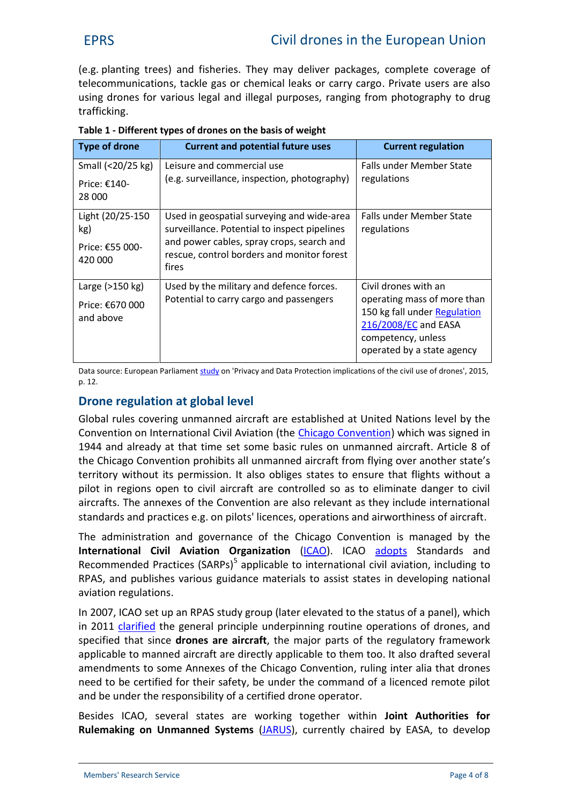(e.g. planting trees) and fisheries. They may deliver packages, [complete](http://europa.eu/rapid/press-release_MEMO-14-259_en.htm) coverage of telecommunications, tackle gas or chemical leaks or carry cargo. Private [users](http://ec.europa.eu/DocsRoom/documents/11493) are also using drones for various legal and illegal purposes, ranging from photography to drug trafficking.

| <b>Type of drone</b>                                      | <b>Current and potential future uses</b>                                                                                                                                                       | <b>Current regulation</b>                                                                                                                                       |
|-----------------------------------------------------------|------------------------------------------------------------------------------------------------------------------------------------------------------------------------------------------------|-----------------------------------------------------------------------------------------------------------------------------------------------------------------|
| Small (<20/25 kg)<br>Price: $£140-$<br>28 000             | Leisure and commercial use<br>(e.g. surveillance, inspection, photography)                                                                                                                     | Falls under Member State<br>regulations                                                                                                                         |
| Light (20/25-150<br>kg)<br>Price: €55 000-<br>420 000     | Used in geospatial surveying and wide-area<br>surveillance. Potential to inspect pipelines<br>and power cables, spray crops, search and<br>rescue, control borders and monitor forest<br>fires | Falls under Member State<br>regulations                                                                                                                         |
| Large $(>150 \text{ kg})$<br>Price: €670 000<br>and above | Used by the military and defence forces.<br>Potential to carry cargo and passengers                                                                                                            | Civil drones with an<br>operating mass of more than<br>150 kg fall under Regulation<br>216/2008/EC and EASA<br>competency, unless<br>operated by a state agency |

| Table 1 - Different types of drones on the basis of weight |  |
|------------------------------------------------------------|--|
|------------------------------------------------------------|--|

Data source: European Parliament [study](http://www.europarl.europa.eu/RegData/etudes/IDAN/2015/519221/IPOL_IDA(2015)519221_EN.pdf) on 'Privacy and Data Protection implications of the civil use of drones', 2015, p. 12.

# **Drone regulation at global level**

Global [rules](http://europa.eu/rapid/press-release_MEMO-14-259_en.htm) covering unmanned aircraft are established at United Nations level by the Convention on International Civil Aviation (the [Chicago Convention](http://www.icao.int/publications/Documents/7300_cons.pdf)) which was signed in 1944 and already at that time set some basic rules on unmanned aircraft. Article 8 of the Chicago Convention prohibits all unmanned aircraft from flying over another state's territory without its permission. It also obliges states to ensure that flights without a pilot in regions open to civil aircraft are controlled so as to eliminate danger to civil aircrafts. The annexes of the Convention are also relevant as they include international standards and practices e.g. on pilots' licences, operations and airworthiness of aircraft.

The administration and governance of the Chicago Convention is managed by the **International Civil Aviation Organization [\(ICAO](http://www.icao.int/about-icao/Pages/default.aspx)). ICAO [adopts](https://www4.icao.int/rpas/) Standards and** Recommended Practices (SARPs) $<sup>5</sup>$  applicable to international civil aviation, including to</sup> RPAS, and publishes various guidance [materials](http://store1.icao.int/index.php/catalogsearch/result/?q=DOC-10019) to assist states in developing national aviation regulations.

In 2007, ICAO [set up](http://www.publications.parliament.uk/pa/ld201415/ldselect/ldeucom/122/122.pdf) an RPAS study group (later elevated to the status of a panel), which in 2011 [clarified](http://www.icao.int/Meetings/UAS/Documents/Circular 328_en.pdf) the general principle underpinning routine operations of drones, and specified that since **drones are aircraft**, the major parts of the regulatory framework applicable to manned aircraft are directly applicable to them too. It also drafted several [amendments](https://circabc.europa.eu/sd/a/3a6d53da-0197-4fa7-8c90-01637cb57055/Commission Staff Working Document (SWD(2012)259) - Towards a European strategy for the development of civil applications of Remotely Piloted Aircraft Systems (RPAS).pdf) to some Annexes of the Chicago Convention, ruling inter alia that drones need to be certified for their safety, be under the command of a licenced remote pilot and be under the responsibility of a certified drone operator.

Besides ICAO, several states are working together within **Joint Authorities for Rulemaking on Unmanned Systems** ([JARUS\),](http://jarus-rpas.org/) currently chaired by EASA, to develop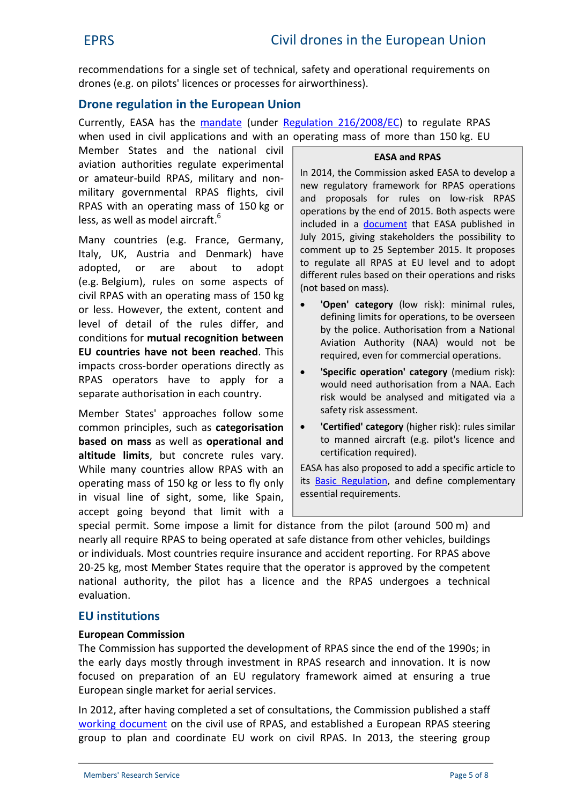recommendations for a single set of technical, safety and operational requirements on drones (e.g. on pilots' licences or processes for airworthiness).

# **Drone regulation in the European Union**

Currently, EASA has the [mandate](https://easa.europa.eu/unmanned-aircraft-systems-uas-and-remotely-piloted-aircraft-systems-rpas) (under [Regulation 216/2008/EC\)](http://eur-lex.europa.eu/legal-content/EN/TXT/?qid=1445502520775&uri=CELEX:32008R0216) to regulate RPAS when used in civil applications and with an operating mass of more than 150 kg. EU

Member States and the national civil aviation authorities regulate experimental or amateur-build RPAS, military and non military governmental RPAS flights, civil RPAS with an operating mass of 150 kg or less, as well as model aircraft.<sup>6</sup>

Many countries (e.g. France, Germany, Italy, UK, Austria and Denmark) have adopted, or are about to adopt (e.g. Belgium), rules on some aspects of civil RPAS with an operating mass of 150 kg or less. However, the extent, content and level of detail of the rules differ, and conditions for **mutual recognition between EU countries have not been reached**. This impacts cross-border operations directly as RPAS operators have to apply for a separate authorisation in each country.

Member States' approaches follow some common principles, such as **categorisation based on mass** as well as **operational and altitude limits**, but concrete rules vary. While many countries allow RPAS with an operating mass of 150 kg or less to fly only in visual line of sight, some, like Spain, accept going beyond that limit with a

#### **EASA and RPAS**

In 2014, the Commission asked EASA to develop a new regulatory framework for RPAS operations and proposals for rules on low-risk RPAS operations by the end of 2015. Both aspects were included in a **[document](http://easa.europa.eu/document-library/notices-of-proposed-amendment/npa-2015-10)** that EASA published in July 2015, giving stakeholders the possibility to comment up to 25 September 2015. It proposes to regulate all RPAS at EU level and to adopt different rules based on their operations and risks (not based on mass).

- **'Open' category** (low risk): minimal rules, defining limits for operations, to be overseen by the police. Authorisation from a National Aviation Authority (NAA) would not be required, even for commercial operations.
- **'Specific operation' category** (medium risk): would need authorisation from a NAA. Each risk would be analysed and mitigated via a safety risk assessment.
- **'Certified' category** (higher risk): rules similar to manned aircraft (e.g. pilot's licence and certification required).

EASA has also proposed to add a specific article to its [Basic Regulation](http://eur-lex.europa.eu/legal-content/EN/TXT/?qid=1445502520775&uri=CELEX:32008R0216), and define complementary essential requirements.

special permit. Some impose a limit for distance from the pilot (around 500 m) and nearly all require RPAS to being operated at safe distance from other vehicles, buildings or individuals. Most countries require insurance and accident reporting. For RPAS above 20-25 kg, most Member States require that the operator is approved by the competent national authority, the pilot has a licence and the RPAS undergoes a technical evaluation.

# **EU institutions**

## **European Commission**

The Commission has supported the development of RPAS since the end of the 1990s; in the early days mostly through investment in RPAS research and innovation. It is now focused on preparation of an EU regulatory framework aimed at ensuring a true European single market for aerial services.

In 2012, after having completed a set of consultations, the Commission published a staff [working document](https://circabc.europa.eu/sd/a/3a6d53da-0197-4fa7-8c90-01637cb57055/Commission Staff Working Document (SWD(2012)259) - Towards a European strategy for the development of civil applications of Remotely Piloted Aircraft Systems (RPAS).pdf) on the civil use of RPAS, and established a European RPAS steering group to plan and coordinate EU work on civil RPAS. In 2013, the steering group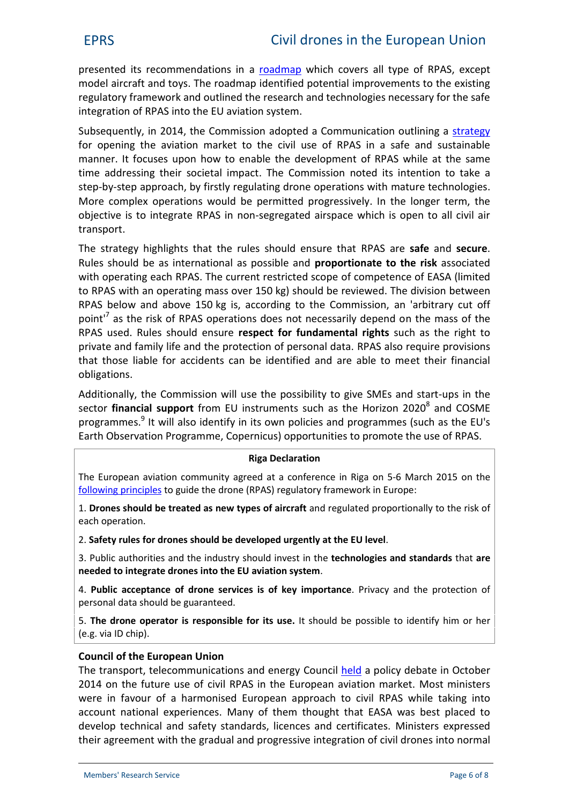presented its recommendations in a [roadmap](http://ec.europa.eu/DocsRoom/documents/10484/attachments/1/translations/en/renditions/native) which covers all type of RPAS, except model aircraft and toys. The roadmap identified potential improvements to the existing regulatory framework and outlined the research and technologies necessary for the safe integration of RPAS into the EU aviation system.

Subsequently, in 2014, the Commission adopted a Communication outlining a [strategy](http://eur-lex.europa.eu/legal-content/EN/TXT/?uri=CELEX:52014DC0207) for opening the aviation market to the civil use of RPAS in a safe and sustainable manner. It focuses upon how to enable the development of RPAS while at the same time addressing their societal impact. The Commission noted its intention to take a step-by-step approach, by firstly regulating drone operations with mature technologies. More complex operations would be permitted progressively. In the longer term, the objective is to integrate RPAS in non-segregated airspace which is open to all civil air transport.

The strategy highlights that the rules should ensure that RPAS are **safe** and **secure**. Rules should be as international as possible and **proportionate to the risk** associated with operating each RPAS. The current restricted scope of competence of [EASA](https://www.easa.europa.eu/the-agency) (limited to RPAS with an operating mass over 150 kg) should be reviewed. The division between RPAS below and above 150 kg is, according to the Commission, an 'arbitrary cut off point<sup>17</sup> as the risk of RPAS operations does not necessarily depend on the mass of the RPAS used. Rules should ensure **respect for fundamental rights** such as the right to private and family life and the protection of personal data. RPAS also require provisions that those liable for accidents can be identified and are able to meet their financial obligations.

Additionally, the Commission will use the possibility to give SMEs and start-ups in the sector **financial support** from EU instruments such as the Horizon 2020<sup>8</sup> and COSME programmes.<sup>9</sup> It will also identify in its own policies and programmes (such as the EU's Earth Observation Programme, Copernicus) opportunities to promote the use of RPAS.

#### **Riga Declaration**

The European aviation community agreed at a conference in Riga on 5-6 March 2015 on the [following principles](http://ec.europa.eu/transport/modes/air/news/doc/2015-03-06-drones/2015-03-06-riga-declaration-drones.pdf) to guide the drone (RPAS) regulatory framework in Europe:

1. **Drones should be treated as new types of aircraft** and regulated proportionally to the risk of each operation.

2. **Safety rules for drones should be developed urgently at the EU level**.

3. Public authorities and the industry should invest in the **technologies and standards** that **are needed to integrate drones into the EU aviation system**.

4. **Public acceptance of drone services is of key importance**. Privacy and the protection of personal data should be guaranteed.

5. **The drone operator is responsible for its use.** It should be possible to identify him or her (e.g. via ID chip).

#### **Council of the European Union**

The transport, telecommunications and energy Council [held](http://www.consilium.europa.eu/en/workarea/downloadAsset.aspx?id=40802189614) a policy debate in October 2014 on the future use of civil RPAS in the European aviation market. Most ministers were in favour of a harmonised European approach to civil RPAS while taking into account national experiences. Many of them thought that EASA was best placed to develop technical and safety standards, licences and certificates. Ministers expressed their agreement with the gradual and progressive integration of civil drones into normal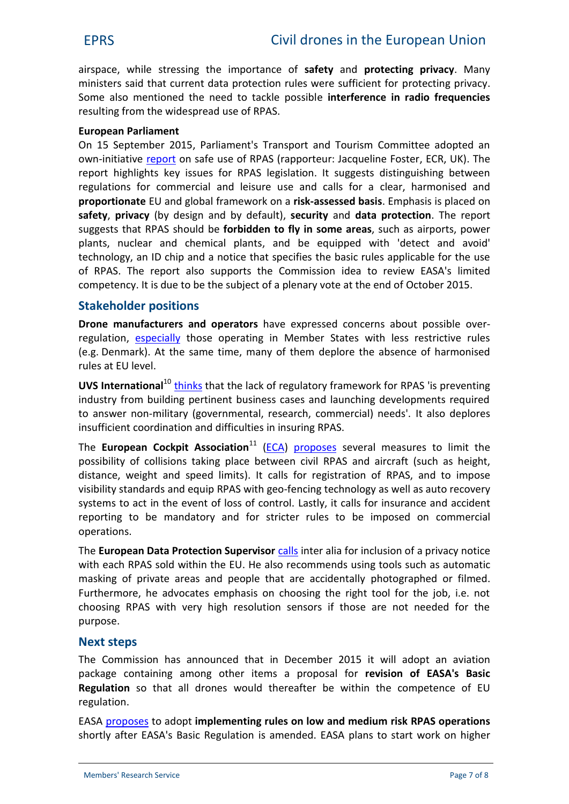airspace, while stressing the importance of **safety** and **protecting privacy**. Many ministers said that current data protection rules were sufficient for protecting privacy. Some also mentioned the need to tackle possible **interference in radio frequencies** resulting from the widespread use of RPAS.

#### **European Parliament**

On 15 September 2015, Parliament's Transport and Tourism Committee adopted an own-initiative [report](http://www.europarl.europa.eu/sides/getDoc.do?type=REPORT&reference=A8-2015-0261&format=XML&language=EN) on safe use of RPAS (rapporteur: Jacqueline Foster, ECR, UK). The report highlights key issues for RPAS legislation. It suggests distinguishing between regulations for commercial and leisure use and calls for a clear, harmonised and **proportionate** EU and global framework on a **risk-assessed basis**. Emphasis is placed on **safety**, **privacy** (by design and by default), **security** and **data protection**. The report suggests that RPAS should be **forbidden to fly in some areas**, such as airports, power plants, nuclear and chemical plants, and be equipped with 'detect and avoid' technology, an ID chip and a notice that specifies the basic rules applicable for the use of RPAS. The report also supports the Commission idea to review EASA's limited competency. It is due to be the subject of a plenary vote at the end of October 2015.

## **Stakeholder positions**

**[Drone](http://europolitics.info/transport/drones-avoiding-rules-kill-industry) manufacturers and operators** have expressed concerns about possible over regulation, [especially](http://www.euractiv.com/sections/infosociety/europes-first-civil-drone-law-gets-boost-parliament-316396) those operating in Member States with less restrictive rules (e.g. Denmark). At the same time, many of them deplore the absence of harmonised rules at EU level.

**UVS International**<sup>10</sup> [thinks](http://ec.europa.eu/DocsRoom/documents/9802/attachments/13/translations/en/renditions/native) that the lack of regulatory framework for RPAS 'is preventing industry from building pertinent business cases and launching developments required to answer non-military (governmental, research, commercial) needs'. It also deplores insufficient coordination and difficulties in insuring RPAS.

The **European Cockpit Association**<sup>11</sup> [\(ECA](https://www.eurocockpit.be/)) [proposes](https://www.eurocockpit.be/stories/20150724/the-rpas-open-category-in-easa-s-concept-of-operations-for-drones) several measures to limit the possibility of collisions taking place between civil RPAS and aircraft (such as height, distance, weight and speed limits). It calls for registration of RPAS, and to impose visibility standards and equip RPAS with geo-fencing technology as well as auto recovery systems to act in the event of loss of control. Lastly, it calls for insurance and accident reporting to be mandatory and for stricter rules to be imposed on commercial operations.

The **European Data Protection Supervisor** [calls](https://secure.edps.europa.eu/EDPSWEB/webdav/site/mySite/shared/Documents/Consultation/Opinions/2014/14-11-26_Opinion_RPAS_EN.pdf) inter alia for inclusion of a privacy notice with each RPAS sold within the EU. He also recommends using tools such as automatic masking of private areas and people that are accidentally photographed or filmed. Furthermore, he advocates emphasis on choosing the right tool for the job, i.e. not choosing RPAS with very high resolution sensors if those are not needed for the purpose.

## **Next steps**

The Commission has announced that in December 2015 it will adopt an aviation package containing among other items a proposal for **revision of EASA's Basic Regulation** so that all drones would thereafter be within the competence of EU regulation.

EASA [proposes](http://easa.europa.eu/document-library/notices-of-proposed-amendment/npa-2015-10) to adopt **implementing rules on low and medium risk RPAS operations** shortly after EASA's Basic Regulation is amended. EASA plans to start work on higher